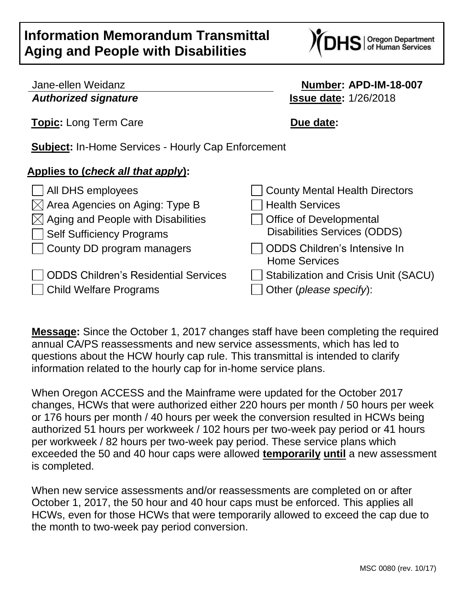## **Information Memorandum Transmittal Aging and People with Disabilities**



## Jane-ellen Weidanz **Number: APD-IM-18-007** *Authorized signature* **Issue date:** 1/26/2018

**Topic:** Long Term Care **Due date:** 

**Subject:** In-Home Services - Hourly Cap Enforcement

## **Applies to (***check all that apply***):**

| $\Box$ All DHS employees                       | County Mental Health Directors                       |
|------------------------------------------------|------------------------------------------------------|
| $\boxtimes$ Area Agencies on Aging: Type B     | Health Services                                      |
| $\boxtimes$ Aging and People with Disabilities | Office of Developmental                              |
| Self Sufficiency Programs                      | <b>Disabilities Services (ODDS)</b>                  |
| County DD program managers                     | ODDS Children's Intensive In<br><b>Home Services</b> |
| <b>ODDS Children's Residential Services</b>    | Stabilization and Crisis Unit (SACU)                 |
| <b>Child Welfare Programs</b>                  | Other (please specify):                              |

**Message:** Since the October 1, 2017 changes staff have been completing the required annual CA/PS reassessments and new service assessments, which has led to questions about the HCW hourly cap rule. This transmittal is intended to clarify information related to the hourly cap for in-home service plans.

When Oregon ACCESS and the Mainframe were updated for the October 2017 changes, HCWs that were authorized either 220 hours per month / 50 hours per week or 176 hours per month / 40 hours per week the conversion resulted in HCWs being authorized 51 hours per workweek / 102 hours per two-week pay period or 41 hours per workweek / 82 hours per two-week pay period. These service plans which exceeded the 50 and 40 hour caps were allowed **temporarily until** a new assessment is completed.

When new service assessments and/or reassessments are completed on or after October 1, 2017, the 50 hour and 40 hour caps must be enforced. This applies all HCWs, even for those HCWs that were temporarily allowed to exceed the cap due to the month to two-week pay period conversion.